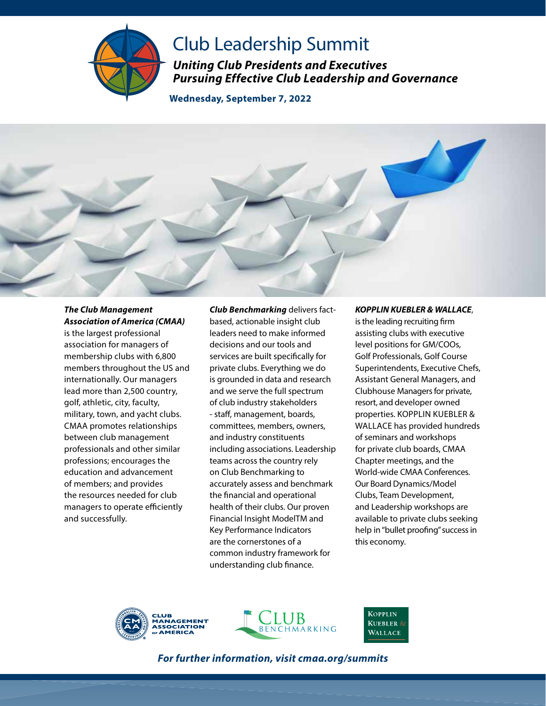

## Club Leadership Summit

*Uniting Club Presidents and Executives Pursuing Effective Club Leadership and Governance* 

**Wednesday, September 7, 2022** 



## *The Club Management Association of America (CMAA)*

is the largest professional association for managers of membership clubs with 6,800 members throughout the US and internationally. Our managers lead more than 2,500 country, golf, athletic, city, faculty, military, town, and yacht clubs. CMAA promotes relationships between club management professionals and other similar professions; encourages the education and advancement of members; and provides the resources needed for club managers to operate efficiently and successfully.

*Club Benchmarking* delivers factbased, actionable insight club leaders need to make informed decisions and our tools and services are built specifically for private clubs. Everything we do is grounded in data and research and we serve the full spectrum of club industry stakeholders - staff, management, boards, committees, members, owners, and industry constituents including associations. Leadership teams across the country rely on Club Benchmarking to accurately assess and benchmark the financial and operational health of their clubs. Our proven Financial Insight ModelTM and Key Performance Indicators are the cornerstones of a common industry framework for understanding club finance.

## *KOPPLIN KUEBLER & WALLACE*,

is the leading recruiting firm assisting clubs with executive level positions for GM/COOs, Golf Professionals, Golf Course Superintendents, Executive Chefs, Assistant General Managers, and Clubhouse Managers for private, resort, and developer owned properties. KOPPLIN KUEBLER & WALLACE has provided hundreds of seminars and workshops for private club boards, CMAA Chapter meetings, and the World-wide CMAA Conferences. Our Board Dynamics/Model Clubs, Team Development, and Leadership workshops are available to private clubs seeking help in "bullet proofing" success in this economy.





**KOPPLIN KUEBLER** & **WALLACE** 

*For further information, visit cmaa.org/summits*